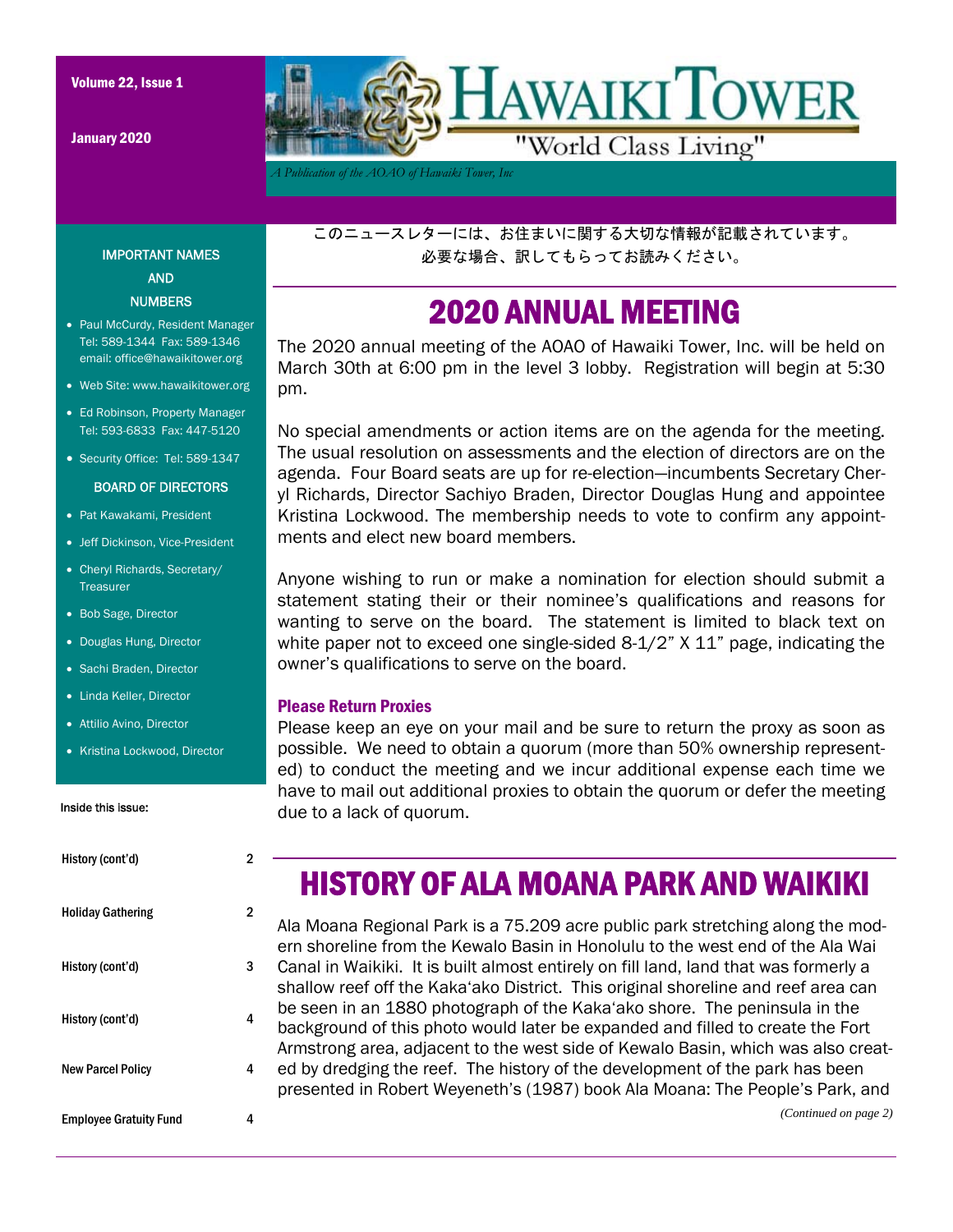January 2020



*A Publication of the AOAO of Hawaiki Tower, Inc* 

このニュースレターには、お住まいに関する大切な情報が記載されています。 必要な場合、訳してもらってお読みください。

#### 2020 ANNUAL MEETING

The 2020 annual meeting of the AOAO of Hawaiki Tower, Inc. will be held on March 30th at 6:00 pm in the level 3 lobby. Registration will begin at 5:30 pm.

No special amendments or action items are on the agenda for the meeting. The usual resolution on assessments and the election of directors are on the agenda. Four Board seats are up for re-election—incumbents Secretary Cheryl Richards, Director Sachiyo Braden, Director Douglas Hung and appointee Kristina Lockwood. The membership needs to vote to confirm any appointments and elect new board members.

Anyone wishing to run or make a nomination for election should submit a statement stating their or their nominee's qualifications and reasons for wanting to serve on the board. The statement is limited to black text on white paper not to exceed one single-sided 8-1/2" X 11" page, indicating the owner's qualifications to serve on the board.

#### Please Return Proxies

Please keep an eye on your mail and be sure to return the proxy as soon as possible. We need to obtain a quorum (more than 50% ownership represented) to conduct the meeting and we incur additional expense each time we have to mail out additional proxies to obtain the quorum or defer the meeting due to a lack of quorum.

# HISTORY OF ALA MOANA PARK AND WAIKIKI

Ala Moana Regional Park is a 75.209 acre public park stretching along the modern shoreline from the Kewalo Basin in Honolulu to the west end of the Ala Wai Canal in Waikiki. It is built almost entirely on fill land, land that was formerly a shallow reef off the Kaka'ako District. This original shoreline and reef area can be seen in an 1880 photograph of the Kaka'ako shore. The peninsula in the background of this photo would later be expanded and filled to create the Fort Armstrong area, adjacent to the west side of Kewalo Basin, which was also created by dredging the reef. The history of the development of the park has been presented in Robert Weyeneth's (1987) book Ala Moana: The People's Park, and

#### IMPORTANT NAMES AND **NUMBERS**

- Paul McCurdy, Resident Manager Tel: 589-1344 Fax: 589-1346 email: office@hawaikitower.org
- Web Site: www.hawaikitower.org
- Ed Robinson, Property Manager Tel: 593-6833 Fax: 447-5120
- Security Office: Tel: 589-1347

#### BOARD OF DIRECTORS

- Pat Kawakami, President
- Jeff Dickinson, Vice-President
- Cheryl Richards, Secretary/ Treasurer
- Bob Sage, Director
- Douglas Hung, Director
- Sachi Braden, Director
- Linda Keller, Director
- Attilio Avino, Director
- Kristina Lockwood, Director

#### Inside this issue:

| History (cont'd)              | 2 |
|-------------------------------|---|
| <b>Holiday Gathering</b>      | 2 |
| History (cont'd)              | 3 |
| History (cont'd)              | 4 |
| <b>New Parcel Policy</b>      | 4 |
| <b>Employee Gratuity Fund</b> | 4 |

*(Continued on page 2)*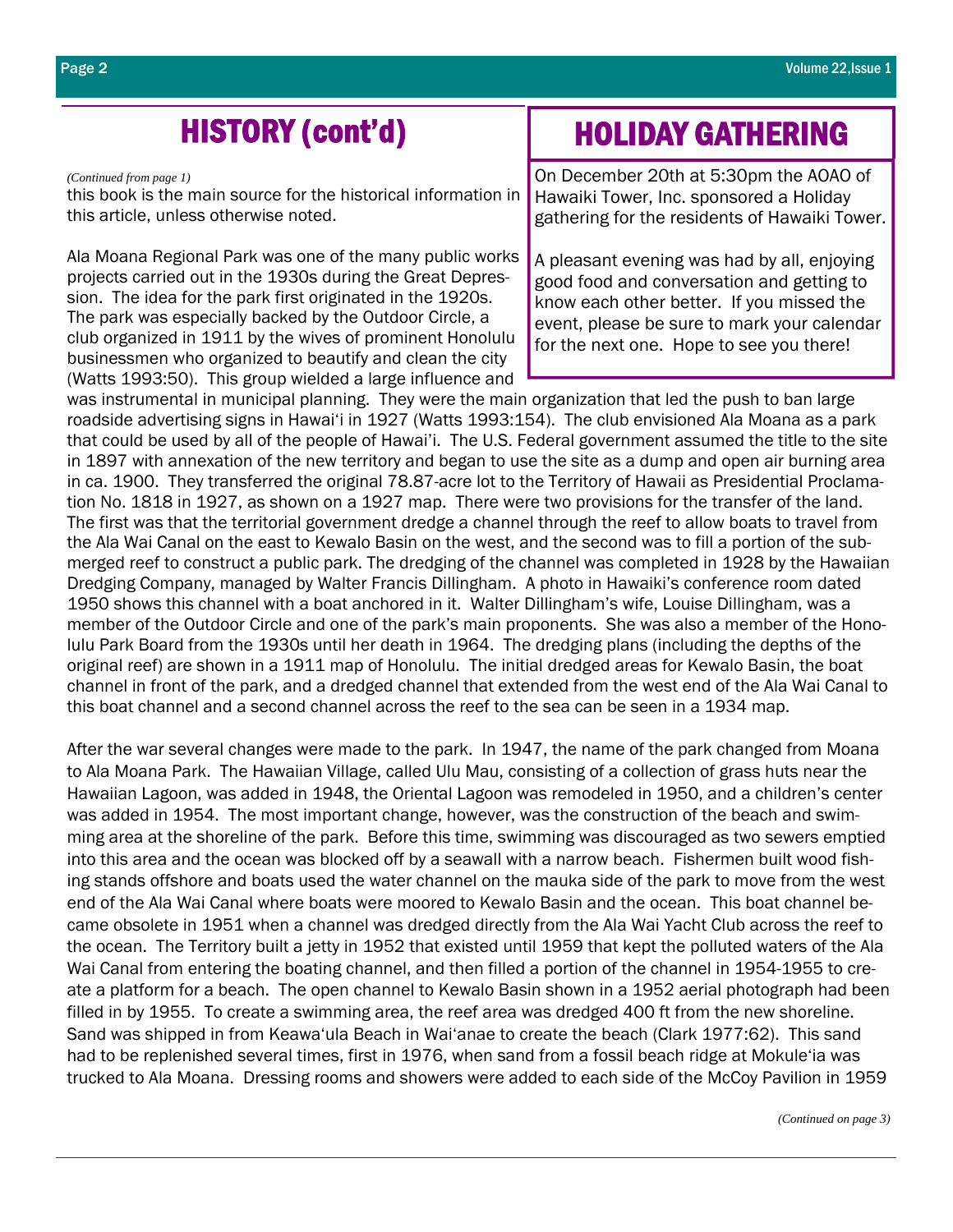*(Continued from page 1)* 

this book is the main source for the historical information in this article, unless otherwise noted.

Ala Moana Regional Park was one of the many public works projects carried out in the 1930s during the Great Depression. The idea for the park first originated in the 1920s. The park was especially backed by the Outdoor Circle, a club organized in 1911 by the wives of prominent Honolulu businessmen who organized to beautify and clean the city (Watts 1993:50). This group wielded a large influence and

## HISTORY (cont'd) HOLIDAY GATHERING

On December 20th at 5:30pm the AOAO of Hawaiki Tower, Inc. sponsored a Holiday gathering for the residents of Hawaiki Tower.

A pleasant evening was had by all, enjoying good food and conversation and getting to know each other better. If you missed the event, please be sure to mark your calendar for the next one. Hope to see you there!

was instrumental in municipal planning. They were the main organization that led the push to ban large roadside advertising signs in Hawai'i in 1927 (Watts 1993:154). The club envisioned Ala Moana as a park that could be used by all of the people of Hawai'i. The U.S. Federal government assumed the title to the site in 1897 with annexation of the new territory and began to use the site as a dump and open air burning area in ca. 1900. They transferred the original 78.87-acre lot to the Territory of Hawaii as Presidential Proclamation No. 1818 in 1927, as shown on a 1927 map. There were two provisions for the transfer of the land. The first was that the territorial government dredge a channel through the reef to allow boats to travel from the Ala Wai Canal on the east to Kewalo Basin on the west, and the second was to fill a portion of the submerged reef to construct a public park. The dredging of the channel was completed in 1928 by the Hawaiian Dredging Company, managed by Walter Francis Dillingham. A photo in Hawaiki's conference room dated 1950 shows this channel with a boat anchored in it. Walter Dillingham's wife, Louise Dillingham, was a member of the Outdoor Circle and one of the park's main proponents. She was also a member of the Honolulu Park Board from the 1930s until her death in 1964. The dredging plans (including the depths of the original reef) are shown in a 1911 map of Honolulu. The initial dredged areas for Kewalo Basin, the boat channel in front of the park, and a dredged channel that extended from the west end of the Ala Wai Canal to this boat channel and a second channel across the reef to the sea can be seen in a 1934 map.

After the war several changes were made to the park. In 1947, the name of the park changed from Moana to Ala Moana Park. The Hawaiian Village, called Ulu Mau, consisting of a collection of grass huts near the Hawaiian Lagoon, was added in 1948, the Oriental Lagoon was remodeled in 1950, and a children's center was added in 1954. The most important change, however, was the construction of the beach and swimming area at the shoreline of the park. Before this time, swimming was discouraged as two sewers emptied into this area and the ocean was blocked off by a seawall with a narrow beach. Fishermen built wood fishing stands offshore and boats used the water channel on the mauka side of the park to move from the west end of the Ala Wai Canal where boats were moored to Kewalo Basin and the ocean. This boat channel became obsolete in 1951 when a channel was dredged directly from the Ala Wai Yacht Club across the reef to the ocean. The Territory built a jetty in 1952 that existed until 1959 that kept the polluted waters of the Ala Wai Canal from entering the boating channel, and then filled a portion of the channel in 1954-1955 to create a platform for a beach. The open channel to Kewalo Basin shown in a 1952 aerial photograph had been filled in by 1955. To create a swimming area, the reef area was dredged 400 ft from the new shoreline. Sand was shipped in from Keawa'ula Beach in Wai'anae to create the beach (Clark 1977:62). This sand had to be replenished several times, first in 1976, when sand from a fossil beach ridge at Mokule'ia was trucked to Ala Moana. Dressing rooms and showers were added to each side of the McCoy Pavilion in 1959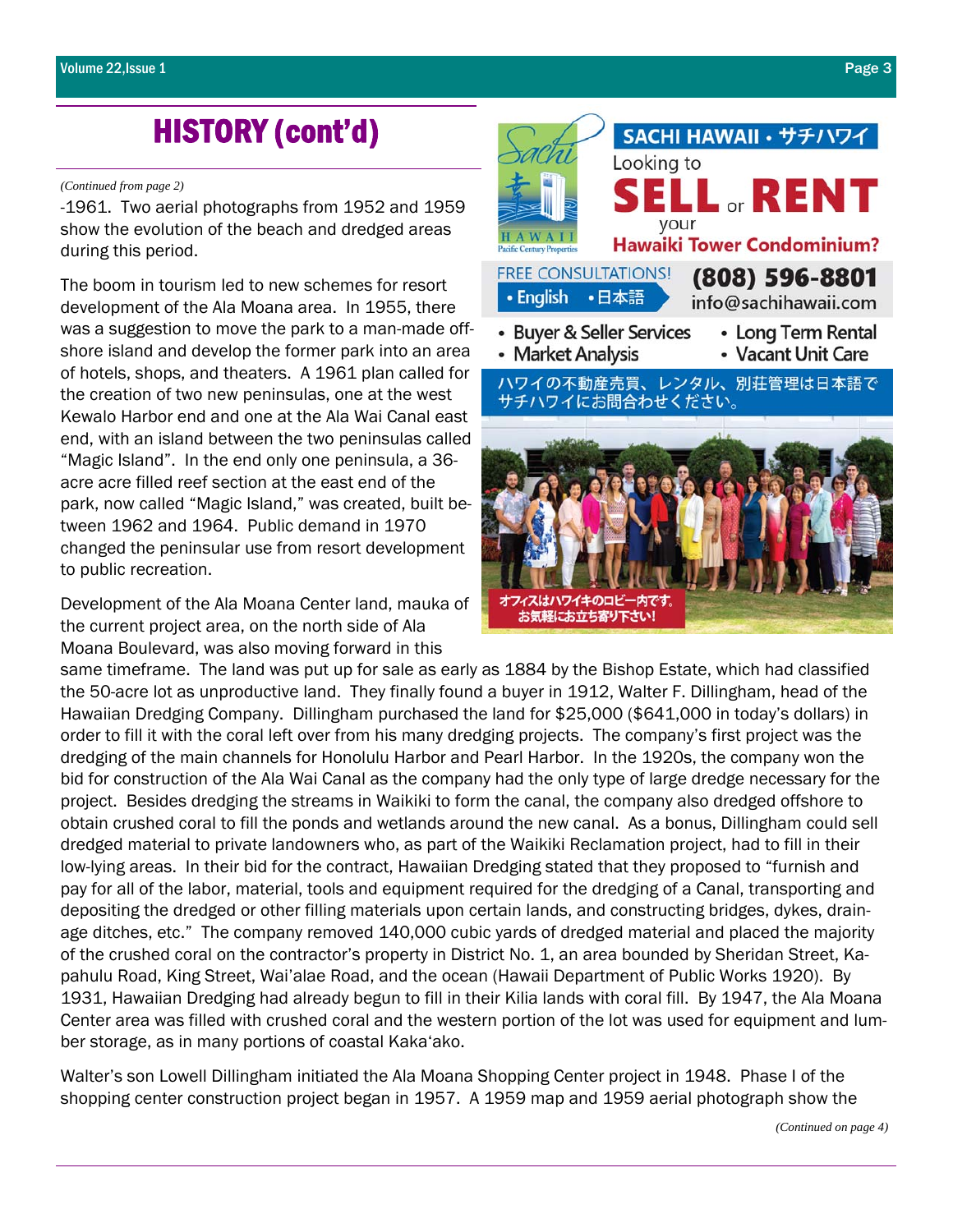## HISTORY (cont'd)

#### *(Continued from page 2)*

-1961. Two aerial photographs from 1952 and 1959 show the evolution of the beach and dredged areas during this period.

The boom in tourism led to new schemes for resort development of the Ala Moana area. In 1955, there was a suggestion to move the park to a man-made offshore island and develop the former park into an area of hotels, shops, and theaters. A 1961 plan called for the creation of two new peninsulas, one at the west Kewalo Harbor end and one at the Ala Wai Canal east end, with an island between the two peninsulas called "Magic Island". In the end only one peninsula, a 36 acre acre filled reef section at the east end of the park, now called "Magic Island," was created, built between 1962 and 1964. Public demand in 1970 changed the peninsular use from resort development to public recreation.

Development of the Ala Moana Center land, mauka of the current project area, on the north side of Ala Moana Boulevard, was also moving forward in this



same timeframe. The land was put up for sale as early as 1884 by the Bishop Estate, which had classified the 50-acre lot as unproductive land. They finally found a buyer in 1912, Walter F. Dillingham, head of the Hawaiian Dredging Company. Dillingham purchased the land for \$25,000 (\$641,000 in today's dollars) in order to fill it with the coral left over from his many dredging projects. The company's first project was the dredging of the main channels for Honolulu Harbor and Pearl Harbor. In the 1920s, the company won the bid for construction of the Ala Wai Canal as the company had the only type of large dredge necessary for the project. Besides dredging the streams in Waikiki to form the canal, the company also dredged offshore to obtain crushed coral to fill the ponds and wetlands around the new canal. As a bonus, Dillingham could sell dredged material to private landowners who, as part of the Waikiki Reclamation project, had to fill in their low-lying areas. In their bid for the contract, Hawaiian Dredging stated that they proposed to "furnish and pay for all of the labor, material, tools and equipment required for the dredging of a Canal, transporting and depositing the dredged or other filling materials upon certain lands, and constructing bridges, dykes, drainage ditches, etc." The company removed 140,000 cubic yards of dredged material and placed the majority of the crushed coral on the contractor's property in District No. 1, an area bounded by Sheridan Street, Kapahulu Road, King Street, Wai'alae Road, and the ocean (Hawaii Department of Public Works 1920). By 1931, Hawaiian Dredging had already begun to fill in their Kilia lands with coral fill. By 1947, the Ala Moana Center area was filled with crushed coral and the western portion of the lot was used for equipment and lumber storage, as in many portions of coastal Kaka'ako.

Walter's son Lowell Dillingham initiated the Ala Moana Shopping Center project in 1948. Phase I of the shopping center construction project began in 1957. A 1959 map and 1959 aerial photograph show the